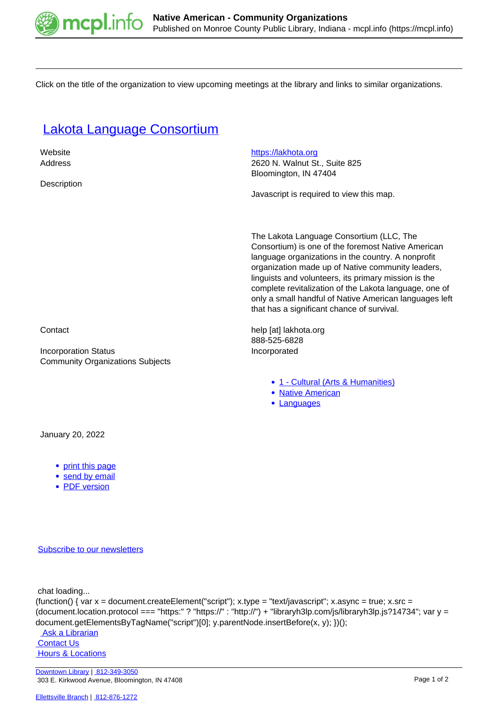

Click on the title of the organization to view upcoming meetings at the library and links to similar organizations.

## [Lakota Language Consortium](https://mcpl.info/commorg/lakota-language-consortium)

| Website<br>Address<br>Description                                      | https://lakhota.org<br>2620 N. Walnut St., Suite 825<br>Bloomington, IN 47404<br>Javascript is required to view this map.                                                                                                                                                                                                                                                                                                           |
|------------------------------------------------------------------------|-------------------------------------------------------------------------------------------------------------------------------------------------------------------------------------------------------------------------------------------------------------------------------------------------------------------------------------------------------------------------------------------------------------------------------------|
|                                                                        | The Lakota Language Consortium (LLC, The<br>Consortium) is one of the foremost Native American<br>language organizations in the country. A nonprofit<br>organization made up of Native community leaders,<br>linguists and volunteers, its primary mission is the<br>complete revitalization of the Lakota language, one of<br>only a small handful of Native American languages left<br>that has a significant chance of survival. |
| Contact                                                                | help [at] lakhota.org<br>888-525-6828                                                                                                                                                                                                                                                                                                                                                                                               |
| <b>Incorporation Status</b><br><b>Community Organizations Subjects</b> | Incorporated                                                                                                                                                                                                                                                                                                                                                                                                                        |
|                                                                        | • 1 - Cultural (Arts & Humanities)<br>• Native American<br>Languages                                                                                                                                                                                                                                                                                                                                                                |
| January 20, 2022                                                       |                                                                                                                                                                                                                                                                                                                                                                                                                                     |

- [print this page](https://mcpl.info/print/commorg/lakota-language-consortium)
- [send by email](https://mcpl.info/printmail/commorg/lakota-language-consortium)
- [PDF version](https://mcpl.info/printpdf/commorg/lakota-language-consortium)

[Subscribe to our newsletters](https://mcpl.info/geninfo/subscribe-think-library-newsletter)

chat loading...

```
(function() { var x = document.createElement("script"); x.type = "text/javascript"; x.async = true; x.src =
(document.location.protocol === "https:" ? "https://" : "http://") + "libraryh3lp.com/js/libraryh3lp.js?14734"; var y =
document.getElementsByTagName("script")[0]; y.parentNode.insertBefore(x, y); })();
```
 [Ask a Librarian](https://mcpl.info/askus) **Contact Us Hours & Locations**